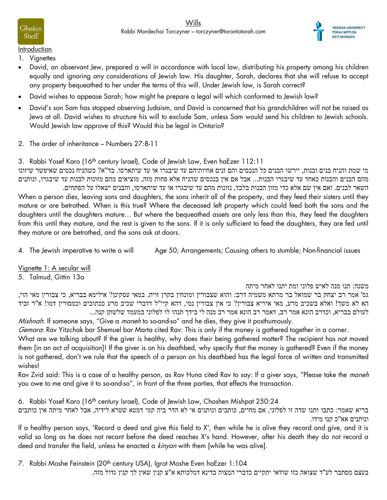

**Introduction** 

Gluskin

Sheff

- 1. Vignettes
- David, an observant Jew, prepared a will in accordance with local law, distributing his property among his children equally and ignoring any considerations of Jewish law. His daughter, Sarah, declares that she will refuse to accept any property bequeathed to her under the terms of this will. Under Jewish law, is Sarah correct?
- David wishes to appease Sarah; how might he prepare a legal will which conformed to Jewish law?
- David's son Sam has stopped observing Judaism, and David is concerned that his grandchildren will not be raised as Jews at all. David wishes to structure his will to exclude Sam, unless Sam would send his children to Jewish schools. Would Jewish law approve of this? Would this be legal in Ontario?
- 2. The order of inheritance Numbers 27:8-11

3. Rabbi Yosef Karo (16th century Israel), Code of Jewish Law, Even haEzer 112:11

מי שמת והניח בנים ובנות, יירשו הבנים כל הנכסים והם זנים אחיותיהם עד שיבגרו או עד שיתארסו. בד"א? כשהניח נכסים שאיפשר שיזונו מהם הבנים והבנות כאחד עד שיבגרו הבנות... אבל אם אין בנכסים שהניח אלא פחות מזה, מוציאים מהם מזונות לבנות עד שיבגרו, ונותנים

השאר לבנים. ואם אין שם אלא כדי מזון הבנות בלבד, נזונות מהם עד שיבגרו או עד שיתארסו, והבנים ישאלו על הפתחים. When a person dies, leaving sons and daughters, the sons inherit all of the property, and they feed their sisters until they mature or are betrothed. When is this true? Where the deceased left property which could feed both the sons and the daughters until the daughters mature… But where the bequeathed assets are only less than this, they feed the daughters from this until they mature, and the rest is given to the sons. If it is only sufficient to feed the daughters, they are fed until they mature or are betrothed, and the sons ask at doors.

4. The Jewish imperative to write a will Age 50; Arrangements; Causing others to stumble; Non-financial issues

Vignette 1: A secular will

5. Talmud, Gittin 13a

משנה: תנו מנה לאיש פלוני ומת יתנו לאחר מיתה

גמ' אמר רב יצחק בר שמואל בר מרתא משמיה דרב: והוא שצבורין ומונחין בקרן זוית. במאי עסקינן? אילימא בבריא, כי צבורין מאי הוי, הא לא משך! ואלא בשכיב מרע, מאי איריא צבורין? כי אין צבורין נמי, דהא קיי"ל דדברי שכיב מרע ככתובים וכמסורין דמו! א"ר זביד לעולם בבריא, וכדרב הונא אמר רב, דאמר רב הונא אמר רב מנה לי בידך תנהו לו לפלוני במעמד שלשתן קנה...

Mishnah: If someone says, "Give a maneh to so-and-so" and he dies, they give it posthumously.

Gemara: Rav Yitzchak bar Shemuel bar Marta cited Rav: This is only if the money is gathered together in a corner.

What are we talking about? If the giver is healthy, why does their being gathered matter? The recipient has not moved them [in an act of acquisition]! If the giver is on his deathbed, why specify that the money is gathered? Even if the money is not gathered, don't we rule that the speech of a person on his deathbed has the legal force of written and transmitted wishes!

Rav Zvid said: This is a case of a healthy person, as Rav Huna cited Rav to say: If a giver says, "Please take the maneh you owe to me and give it to so-and-so", in front of the three parties, that effects the transaction.

6. Rabbi Yosef Karo (16<sup>th</sup> century Israel), Code of Jewish Law, Choshen Mishpat 250:24

בריא שאמר: כתבו ותנו שדה זו לפלוני, אם מחיים, כותבים ונותנים אי לא הדר ביה קמי דמטא שטרא לידיה, אבל לאחר מיתה אין כותבים ונותנים אא"כ קנו מידו.

If a healthy person says, 'Record a deed and give this field to X', then while he is alive they record and give, and it is valid so long as he does not recant before the deed reaches X's hand. However, after his death they do not record a deed and transfer the field, unless he enacted a kinyan with them [while he was alive].

7. Rabbi Moshe Feinstein (20<sup>th</sup> century USA), Igrot Moshe Even haEzer 1:104

בעצם מסתבר לע"ד שצואה כזו שודאי יתקיים כדברי המצוה בדינא דמלכותא א"צ קנין שאין לך קנין גדול מזה.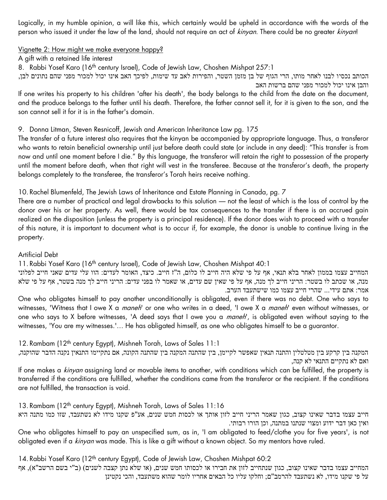Logically, in my humble opinion, a will like this, which certainly would be upheld in accordance with the words of the person who issued it under the law of the land, should not require an act of kinyan. There could be no greater kinyan!

## Vignette 2: How might we make everyone happy?

A gift with a retained life interest

8. Rabbi Yosef Karo (16<sup>th</sup> century Israel), Code of Jewish Law, Choshen Mishpat 257:1

הכותב נכסיו לבנו לאחר מותו, הרי הגוף של בן מזמן השטר, והפירות לאב עד שימות, לפיכך האב אינו יכול למכור מפני שהם נתונים לבן, והבן אינו יכול למכור מפני שהם ברשות האב

If one writes his property to his children 'after his death', the body belongs to the child from the date on the document, and the produce belongs to the father until his death. Therefore, the father cannot sell it, for it is given to the son, and the son cannot sell it for it is in the father's domain.

# 9. Donna Litman, Steven Resnicoff, Jewish and American Inheritance Law pg. 175

The transfer of a future interest also requires that the kinyan be accompanied by appropriate language. Thus, a transferor who wants to retain beneficial ownership until just before death could state (or include in any deed): "This transfer is from now and until one moment before I die." By this language, the transferor will retain the right to possession of the property until the moment before death, when that right will vest in the transferee. Because at the transferor's death, the property belongs completely to the transferee, the transferor's Torah heirs receive nothing.

# 10. Rachel Blumenfeld, The Jewish Laws of Inheritance and Estate Planning in Canada, pg. 7

There are a number of practical and legal drawbacks to this solution — not the least of which is the loss of control by the donor over his or her property. As well, there would be tax consequences to the transfer if there is an accrued gain realized on the disposition (unless the property is a principal residence). If the donor does wish to proceed with a transfer of this nature, it is important to document what is to occur if, for example, the donor is unable to continue living in the property.

#### Artificial Debt

11. Rabbi Yosef Karo (16th century Israel), Code of Jewish Law, Choshen Mishpat 40:1

המחייב עצמו בממון לאחר בלא תנאי, אף על פי שלא היה חייב לו כלום, ה"ז חייב. כיצד, האומר לעדים: הוו עלי עדים שאני חייב לפלוני מנה, או שכתב לו בשטר: הריני חייב לך מנה, אף על פי שאין שם עדים, או שאמר לו בפני עדים: הריני חייב לך מנה בשטר, אף על פי שלא אמר: אתם עידי... שהרי חייב עצמו כמו שישתעבד הערב.

One who obligates himself to pay another unconditionally is obligated, even if there was no debt. One who says to witnesses, 'Witness that I owe X a maneh' or one who writes in a deed, 'I owe X a maneh' even without witnesses, or one who says to X before witnesses, 'A deed says that I owe you a *maneh*', is obligated even without saying to the witnesses, 'You are my witnesses.'… He has obligated himself, as one who obligates himself to be a guarantor.

12. Rambam (12th century Egypt), Mishneh Torah, Laws of Sales 11:1

המקנה בין קרקע בין מטלטלין והתנה תנאין שאפשר לקיימן, בין שהתנה המקנה בין שהתנה הקונה, אם נתקיימו התנאין נקנה הדבר שהוקנה, ואם לא נתקיים התנאי לא קנה,

If one makes a kinyan assigning land or movable items to another, with conditions which can be fulfilled, the property is transferred if the conditions are fulfilled, whether the conditions came from the transferor or the recipient. If the conditions are not fulfilled, the transaction is void.

13. Rambam (12<sup>th</sup> century Egypt), Mishneh Torah, Laws of Sales 11:16

חייב עצמו בדבר שאינו קצוב, כגון שאמר הריני חייב לזון אותך או לכסות חמש שנים, אע"פ שקנו מידו לא נשתעבד, שזו כמו מתנה היא ואין כאן דבר ידוע ומצוי שנתנו במתנה, וכן הורו רבותי.

One who obligates himself to pay an unspecified sum, as in, 'I am obligated to feed/clothe you for five years', is not obligated even if a *kinyan* was made. This is like a gift without a known object. So my mentors have ruled.

14. Rabbi Yosef Karo (12<sup>th</sup> century Egypt), Code of Jewish Law, Choshen Mishpat 60:2 המחייב עצמו בדבר שאינו קצוב, כגון שנתחייב לזון את חבירו או לכסותו חמש שנים, (או שלא נתן קצבה לשנים) (ב"י בשם הרשב"א), אף על פי שקנו מידו, לא נשתעבד להרמב"ם; וחלקו עליו כל הבאים אחריו לומר שהוא משתעבד, והכי נקטינן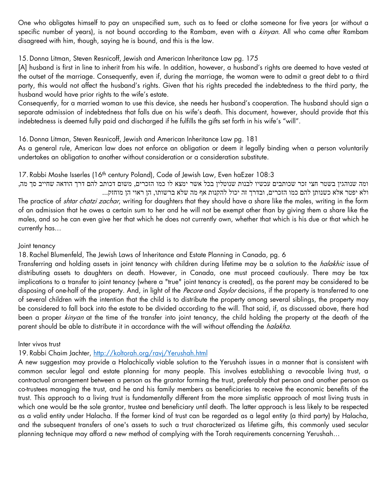One who obligates himself to pay an unspecified sum, such as to feed or clothe someone for five years (or without a specific number of years), is not bound according to the Rambam, even with a kinyan. All who came after Rambam disagreed with him, though, saying he is bound, and this is the law.

15.Donna Litman, Steven Resnicoff, Jewish and American Inheritance Law pg. 175

[A] husband is first in line to inherit from his wife. In addition, however, a husband's rights are deemed to have vested at the outset of the marriage. Consequently, even if, during the marriage, the woman were to admit a great debt to a third party, this would not affect the husband's rights. Given that his rights preceded the indebtedness to the third party, the husband would have prior rights to the wife's estate.

Consequently, for a married woman to use this device, she needs her husband's cooperation. The husband should sign a separate admission of indebtedness that falls due on his wife's death. This document, however, should provide that this indebtedness is deemed fully paid and discharged if he fulfills the gifts set forth in his wife's "will".

16.Donna Litman, Steven Resnicoff, Jewish and American Inheritance Law pg. 181

As a general rule, American law does not enforce an obligation or deem it legally binding when a person voluntarily undertakes an obligation to another without consideration or a consideration substitute.

17. Rabbi Moshe Isserles (16<sup>th</sup> century Poland), Code of Jewish Law, Even haEzer 108:3

ומה שנוהגין בשטר חצי זכר שכותבים עכשיו לבנות שנוטלין בכל אשר ימצא לו כמו הזכרים, משום דכותב להם דרך הודאה שחייב סך מה, ולא יפטר אלא כשנותן להם כמו הזכרים, ובדרך זה יכול להקנות אף מה שלא ברשותו, הן ראוי הן מוחזק... The practice of shtar chatzi zachar, writing for daughters that they should have a share like the males, writing in the form of an admission that he owes a certain sum to her and he will not be exempt other than by giving them a share like the males, and so he can even give her that which he does not currently own, whether that which is his due or that which he currently has…

# Joint tenancy

18. Rachel Blumenfeld, The Jewish Laws of Inheritance and Estate Planning in Canada, pg. 6

Transferring and holding assets in joint tenancy with children during lifetime may be a solution to the *halakhic* issue of distributing assets to daughters on death. However, in Canada, one must proceed cautiously. There may be tax implications to a transfer to joint tenancy (where a "true" joint tenancy is created), as the parent may be considered to be disposing of one-half of the property. And, in light of the Pecore and Saylor decisions, if the property is transferred to one of several children with the intention that the child is to distribute the property among several siblings, the property may be considered to fall back into the estate to be divided according to the will. That said, if, as discussed above, there had been a proper kinyan at the time of the transfer into joint tenancy, the child holding the property at the death of the parent should be able to distribute it in accordance with the will without offending the *halakha*.

Inter vivos trust

19. Rabbi Chaim Jachter,<http://koltorah.org/ravj/Yerushah.html>

A new suggestion may provide a Halachically viable solution to the Yerushah issues in a manner that is consistent with common secular legal and estate planning for many people. This involves establishing a revocable living trust, a contractual arrangement between a person as the grantor forming the trust, preferably that person and another person as co-trustees managing the trust, and he and his family members as beneficiaries to receive the economic benefits of the trust. This approach to a living trust is fundamentally different from the more simplistic approach of most living trusts in which one would be the sole grantor, trustee and beneficiary until death. The latter approach is less likely to be respected as a valid entity under Halacha. If the former kind of trust can be regarded as a legal entity (a third party) by Halacha, and the subsequent transfers of one's assets to such a trust characterized as lifetime gifts, this commonly used secular planning technique may afford a new method of complying with the Torah requirements concerning Yerushah…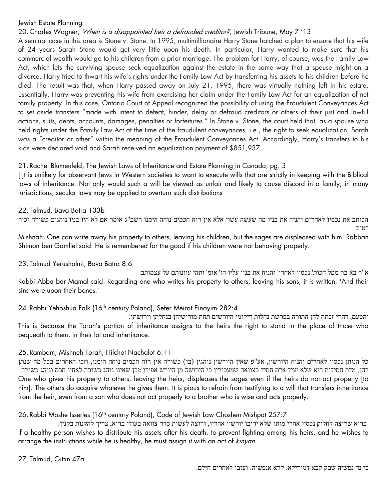#### Jewish Estate Planning

20. Charles Wagner, When is a disappointed heir a defrauded creditor?, Jewish Tribune, May 7'13

A seminal case in this area is Stone v. Stone. In 1995, multimillionaire Harry Stone hatched a plan to ensure that his wife of 24 years Sarah Stone would get very little upon his death. In particular, Harry wanted to make sure that his commercial wealth would go to his children from a prior marriage. The problem for Harry, of course, was the Family Law Act, which lets the surviving spouse seek equalization against the estate in the same way that a spouse might on a divorce. Harry tried to thwart his wife's rights under the Family Law Act by transferring his assets to his children before he died. The result was that, when Harry passed away on July 21, 1995, there was virtually nothing left in his estate. Essentially, Harry was preventing his wife from exercising her claim under the Family Law Act for an equalization of net family property. In this case, Ontario Court of Appeal recognized the possibility of using the Fraudulent Conveyances Act to set aside transfers "made with intent to defeat, hinder, delay or defraud creditors or others of their just and lawful actions, suits, debts, accounts, damages, penalties or forfeitures." In Stone v. Stone, the court held that, as a spouse who held rights under the Family Law Act at the time of the fraudulent conveyances, i.e., the right to seek equalization, Sarah was a "creditor or other" within the meaning of the Fraudulent Conveyances Act. Accordingly, Harry's transfers to his kids were declared void and Sarah received an equalization payment of \$851,937.

#### 21. Rachel Blumenfeld, The Jewish Laws of Inheritance and Estate Planning in Canada, pg. 3

[I]t is unlikely for observant Jews in Western societies to want to execute wills that are strictly in keeping with the Biblical laws of inheritance. Not only would such a will be viewed as unfair and likely to cause discord in a family, in many jurisdictions, secular laws may be applied to overturn such distributions

22. Talmud, Bava Batra 133b הכותב את נכסיו לאחרים והניח את בניו מה שעשה עשוי אלא אין רוח חכמים נוחה הימנו רשב"ג אומר אם לא היו בניו נוהגים כשורה זכור

Mishnah: One can write away his property to others, leaving his children, but the sages are displeased with him. Rabban Shimon ben Gamliel said: He is remembered for the good if his children were not behaving properly.

23. Talmud Yerushalmi, Bava Batra 8:6

א"ר בא בר ממל הכות' נכסיו לאחרי' והניח את בניו עליו הו' אומ' ותהי עוונותם על עצמותם Rabbi Abba bar Mamal said: Regarding one who writes his property to others, leaving his sons, it is written, 'And their sins were upon their bones.'

24. Rabbi Yehoshua Falk (16<sup>th</sup> century Poland), Sefer Meirat Einayim 282:4

והטעם, דהרי זכתה להן התורה בפרשת נחלות דיקומו היורשים תחת מורישיהן בנחלתן וירושתן: This is because the Torah's portion of inheritance assigns to the heirs the right to stand in the place of those who bequeath to them, in their lot and inheritance.

#### 25. Rambam, Mishneh Torah, Hilchot Nachalot 6:11

כל הנותן נכסיו לאחרים והניח היורשין, אע"פ שאין היורשין נוהגין (בו) כשורה אין רוח חכמים נוחה הימנו, וזכו האחרים בכל מה שנתן להן, מדת חסידות היא שלא יעיד אדם חסיד בצוואה שמעבירין בו הירושה מן היורש אפילו מבן שאינו נוהג כשורה לאחיו חכם ונוהג כשורה. One who gives his property to others, leaving the heirs, displeases the sages even if the heirs do not act properly [to him]. The others do acquire whatever he gives them. It is pious to refrain from testifying to a will that transfers inheritance from the heir, even from a son who does not act properly to a brother who is wise and acts properly.

26. Rabbi Moshe Isserles (16<sup>th</sup> century Poland), Code of Jewish Law Choshen Mishpat 257:7

בריא שרוצה לחלוק נכסיו אחרי מותו שלא יריבו יורשיו אחריו, ורוצה לעשות סדר צוואה בעודו בריא, צריך להקנות בקנין. If a healthy person wishes to distribute his assets after his death, to prevent fighting among his heirs, and he wishes to arrange the instructions while he is healthy, he must assign it with an act of kinyan.

לטוב